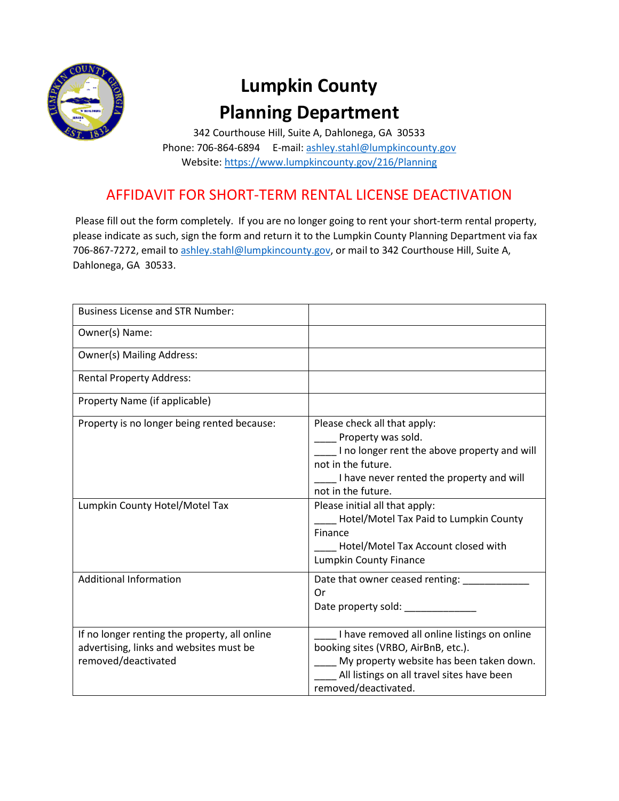

## **Lumpkin County Planning Department**

342 Courthouse Hill, Suite A, Dahlonega, GA 30533 Phone: 706-864-6894 E-mail: ashley.stahl@lumpkincounty.gov Website:<https://www.lumpkincounty.gov/216/Planning>

## AFFIDAVIT FOR SHORT-TERM RENTAL LICENSE DEACTIVATION

Please fill out the form completely. If you are no longer going to rent your short-term rental property, please indicate as such, sign the form and return it to the Lumpkin County Planning Department via fax 706-867-7272, email to [ashley.stahl@lumpkincounty.gov,](mailto:ashley.stahl@lumpkincounty.gov) or mail to 342 Courthouse Hill, Suite A, Dahlonega, GA 30533.

| <b>Business License and STR Number:</b>                                                                         |                                                                                                                                                                                                                                                                                                                           |
|-----------------------------------------------------------------------------------------------------------------|---------------------------------------------------------------------------------------------------------------------------------------------------------------------------------------------------------------------------------------------------------------------------------------------------------------------------|
| Owner(s) Name:                                                                                                  |                                                                                                                                                                                                                                                                                                                           |
| <b>Owner(s) Mailing Address:</b>                                                                                |                                                                                                                                                                                                                                                                                                                           |
| <b>Rental Property Address:</b>                                                                                 |                                                                                                                                                                                                                                                                                                                           |
| Property Name (if applicable)                                                                                   |                                                                                                                                                                                                                                                                                                                           |
| Property is no longer being rented because:<br>Lumpkin County Hotel/Motel Tax                                   | Please check all that apply:<br>Property was sold.<br>I no longer rent the above property and will<br>not in the future.<br>I have never rented the property and will<br>not in the future.<br>Please initial all that apply:<br>Hotel/Motel Tax Paid to Lumpkin County<br>Finance<br>Hotel/Motel Tax Account closed with |
|                                                                                                                 | Lumpkin County Finance                                                                                                                                                                                                                                                                                                    |
| <b>Additional Information</b>                                                                                   | Date that owner ceased renting: _______<br>Or<br>Date property sold: _____________                                                                                                                                                                                                                                        |
| If no longer renting the property, all online<br>advertising, links and websites must be<br>removed/deactivated | I have removed all online listings on online<br>booking sites (VRBO, AirBnB, etc.).<br>My property website has been taken down.<br>All listings on all travel sites have been<br>removed/deactivated.                                                                                                                     |